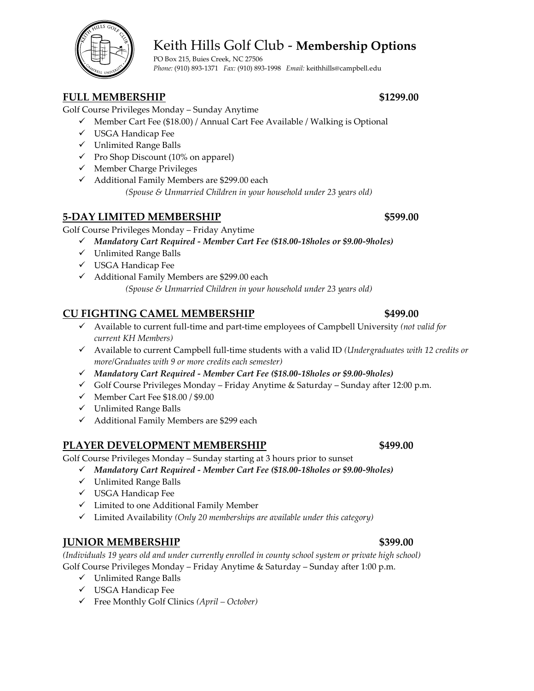# Keith Hills Golf Club - **Membership Options**

PO Box 215, Buies Creek, NC 27506 *Phone:* (910) 893-1371 *Fax:* (910) 893-1998 *Email:* keithhills@campbell.edu

## **FULL MEMBERSHIP \$1299.00**

Golf Course Privileges Monday – Sunday Anytime

- ✓ Member Cart Fee (\$18.00) / Annual Cart Fee Available / Walking is Optional
- ✓ USGA Handicap Fee
- ✓ Unlimited Range Balls
- $\checkmark$  Pro Shop Discount (10% on apparel)
- ✓ Member Charge Privileges
- ✓ Additional Family Members are \$299.00 each
	- *(Spouse & Unmarried Children in your household under 23 years old)*

## **5-DAY LIMITED MEMBERSHIP \$599.00**

Golf Course Privileges Monday – Friday Anytime

- ✓ *Mandatory Cart Required - Member Cart Fee (\$18.00-18holes or \$9.00-9holes)*
- ✓ Unlimited Range Balls
- ✓ USGA Handicap Fee
- ✓ Additional Family Members are \$299.00 each

*(Spouse & Unmarried Children in your household under 23 years old)*

## **CU FIGHTING CAMEL MEMBERSHIP \$499.00**

- ✓ Available to current full-time and part-time employees of Campbell University *(not valid for current KH Members)*
- ✓ Available to current Campbell full-time students with a valid ID *(Undergraduates with 12 credits or more/Graduates with 9 or more credits each semester)*
- ✓ *Mandatory Cart Required - Member Cart Fee (\$18.00-18holes or \$9.00-9holes)*
- $\checkmark$  Golf Course Privileges Monday Friday Anytime & Saturday Sunday after 12:00 p.m.
- ✓ Member Cart Fee \$18.00 / \$9.00
- ✓ Unlimited Range Balls
- ✓ Additional Family Members are \$299 each

### **PLAYER DEVELOPMENT MEMBERSHIP \$499.00**

Golf Course Privileges Monday – Sunday starting at 3 hours prior to sunset

- ✓ *Mandatory Cart Required - Member Cart Fee (\$18.00-18holes or \$9.00-9holes)*
- ✓ Unlimited Range Balls
- ✓ USGA Handicap Fee
- ✓ Limited to one Additional Family Member
- ✓ Limited Availability *(Only 20 memberships are available under this category)*

# **IUNIOR MEMBERSHIP** \$399.00

*(Individuals 19 years old and under currently enrolled in county school system or private high school)*  Golf Course Privileges Monday – Friday Anytime & Saturday – Sunday after 1:00 p.m.

- $\checkmark$  Unlimited Range Balls
- ✓ USGA Handicap Fee
- ✓ Free Monthly Golf Clinics *(April – October)*